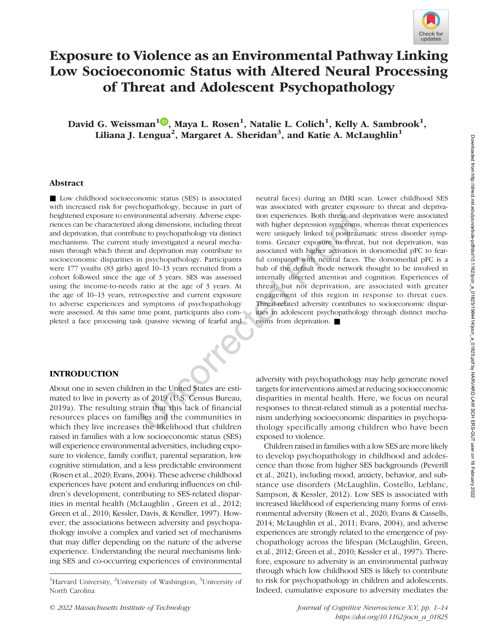

# Exposure to Violence as an Environmental Pathway Linking Low Socioeconomic Status with Altered Neural Processing of Threat and Adolescent Psychopathology

David G. Weissman $^{1}$ <sup>(D</sup>, Maya L. Rosen $^{1}$ , Natalie L. Colich $^{1}$ , Kelly A. Sambrook $^{1}$ , Liliana J. Lengua<sup>2</sup>, Margaret A. Sheridan<sup>3</sup>, and Katie A. McLaughlin<sup>1</sup>

## Abstract

■ Low childhood socioeconomic status (SES) is associated with increased risk for psychopathology, because in part of heightened exposure to environmental adversity. Adverse experiences can be characterized along dimensions, including threat and deprivation, that contribute to psychopathology via distinct mechanisms. The current study investigated a neural mechanism through which threat and deprivation may contribute to socioeconomic disparities in psychopathology. Participants were 177 youths (83 girls) aged 10–13 years recruited from a cohort followed since the age of 3 years. SES was assessed using the income-to-needs ratio at the age of 3 years. At the age of 10–13 years, retrospective and current exposure to adverse experiences and symptoms of psychopathology were assessed. At this same time point, participants also completed a face processing task (passive viewing of fearful and

neutral faces) during an fMRI scan. Lower childhood SES was associated with greater exposure to threat and deprivation experiences. Both threat and deprivation were associated with higher depression symptoms, whereas threat experiences were uniquely linked to posttraumatic stress disorder symptoms. Greater exposure to threat, but not deprivation, was associated with higher activation in dorsomedial pFC to fearful compared with neutral faces. The dorsomedial pFC is a hub of the default mode network thought to be involved in internally directed attention and cognition. Experiences of threat, but not deprivation, are associated with greater engagement of this region in response to threat cues. Threat-related adversity contributes to socioeconomic disparities in adolescent psychopathology through distinct mechanisms from deprivation. ■

# INTRODUCTION

About one in seven children in the United States are estimated to live in poverty as of 2019 (U.S. Census Bureau, 2019a). The resulting strain that this lack of financial resources places on families and the communities in which they live increases the likelihood that children raised in families with a low socioeconomic status (SES) will experience environmental adversities, including exposure to violence, family conflict, parental separation, low cognitive stimulation, and a less predictable environment (Rosen et al., 2020; Evans, 2004). These adverse childhood experiences have potent and enduring influences on children's development, contributing to SES-related disparities in mental health (McLaughlin , Green et al., 2012; Green et al., 2010; Kessler, Davis, & Kendler, 1997). However, the associations between adversity and psychopathology involve a complex and varied set of mechanisms that may differ depending on the nature of the adverse experience. Understanding the neural mechanisms linking SES and co-occurring experiences of environmental

adversity with psychopathology may help generate novel targets for interventions aimed at reducing socioeconomic disparities in mental health. Here, we focus on neural responses to threat-related stimuli as a potential mechanism underlying socioeconomic disparities in psychopathology specifically among children who have been exposed to violence.

Children raised in families with a low SES are more likely to develop psychopathology in childhood and adolescence than those from higher SES backgrounds (Peverill et al., 2021), including mood, anxiety, behavior, and substance use disorders (McLaughlin, Costello, Leblanc, Sampson, & Kessler, 2012). Low SES is associated with increased likelihood of experiencing many forms of environmental adversity (Rosen et al., 2020; Evans & Cassells, 2014; McLaughlin et al., 2011; Evans, 2004), and adverse experiences are strongly related to the emergence of psychopathology across the lifespan (McLaughlin, Green, et al., 2012; Green et al., 2010; Kessler et al., 1997). Therefore, exposure to adversity is an environmental pathway through which low childhood SES is likely to contribute to risk for psychopathology in children and adolescents. Indeed, cumulative exposure to adversity mediates the

<sup>&</sup>lt;sup>1</sup>Harvard University, <sup>2</sup>University of Washington, <sup>3</sup>University of North Carolina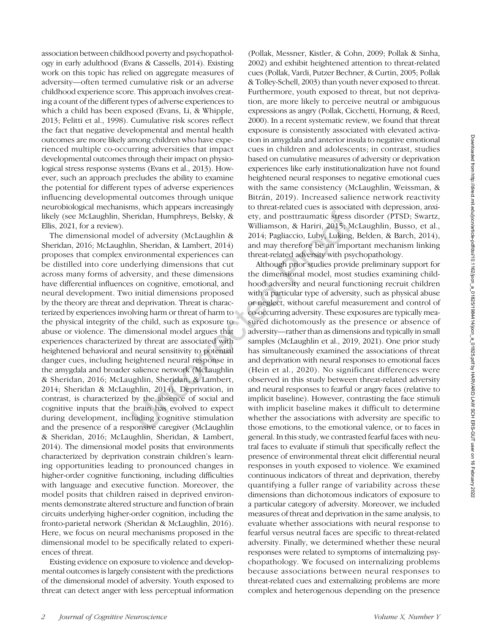association between childhood poverty and psychopathology in early adulthood (Evans & Cassells, 2014). Existing work on this topic has relied on aggregate measures of adversity—often termed cumulative risk or an adverse childhood experience score. This approach involves creating a count of the different types of adverse experiences to which a child has been exposed (Evans, Li, & Whipple, 2013; Felitti et al., 1998). Cumulative risk scores reflect the fact that negative developmental and mental health outcomes are more likely among children who have experienced multiple co-occurring adversities that impact developmental outcomes through their impact on physiological stress response systems (Evans et al., 2013). However, such an approach precludes the ability to examine the potential for different types of adverse experiences influencing developmental outcomes through unique neurobiological mechanisms, which appears increasingly likely (see McLaughlin, Sheridan, Humphreys, Belsky, & Ellis, 2021, for a review).

The dimensional model of adversity (McLaughlin & Sheridan, 2016; McLaughlin, Sheridan, & Lambert, 2014) proposes that complex environmental experiences can be distilled into core underlying dimensions that cut across many forms of adversity, and these dimensions have differential influences on cognitive, emotional, and neural development. Two initial dimensions proposed by the theory are threat and deprivation. Threat is characterized by experiences involving harm or threat of harm to the physical integrity of the child, such as exposure to abuse or violence. The dimensional model argues that experiences characterized by threat are associated with heightened behavioral and neural sensitivity to potential danger cues, including heightened neural response in the amygdala and broader salience network (McLaughlin & Sheridan, 2016; McLaughlin, Sheridan, & Lambert, 2014; Sheridan & McLaughlin, 2014). Deprivation, in contrast, is characterized by the absence of social and cognitive inputs that the brain has evolved to expect during development, including cognitive stimulation and the presence of a responsive caregiver (McLaughlin & Sheridan, 2016; McLaughlin, Sheridan, & Lambert, 2014). The dimensional model posits that environments characterized by deprivation constrain children's learning opportunities leading to pronounced changes in higher-order cognitive functioning, including difficulties with language and executive function. Moreover, the model posits that children raised in deprived environments demonstrate altered structure and function of brain circuits underlying higher-order cognition, including the fronto-parietal network (Sheridan & McLaughlin, 2016). Here, we focus on neural mechanisms proposed in the dimensional model to be specifically related to experiences of threat.

Existing evidence on exposure to violence and developmental outcomes is largely consistent with the predictions of the dimensional model of adversity. Youth exposed to threat can detect anger with less perceptual information

(Pollak, Messner, Kistler, & Cohn, 2009; Pollak & Sinha, 2002) and exhibit heightened attention to threat-related cues (Pollak, Vardi, Putzer Bechner, & Curtin, 2005; Pollak & Tolley-Schell, 2003) than youth never exposed to threat. Furthermore, youth exposed to threat, but not deprivation, are more likely to perceive neutral or ambiguous expressions as angry (Pollak, Cicchetti, Hornung, & Reed, 2000). In a recent systematic review, we found that threat exposure is consistently associated with elevated activation in amygdala and anterior insula to negative emotional cues in children and adolescents; in contrast, studies based on cumulative measures of adversity or deprivation experiences like early institutionalization have not found heightened neural responses to negative emotional cues with the same consistency (McLaughlin, Weissman, & Bitrán, 2019). Increased salience network reactivity to threat-related cues is associated with depression, anxiety, and posttraumatic stress disorder (PTSD; Swartz, Williamson, & Hariri, 2015; McLaughlin, Busso, et al., 2014; Pagliaccio, Luby, Luking, Belden, & Barch, 2014), and may therefore be an important mechanism linking threat-related adversity with psychopathology.

Although prior studies provide preliminary support for the dimensional model, most studies examining childhood adversity and neural functioning recruit children with a particular type of adversity, such as physical abuse or neglect, without careful measurement and control of co-occurring adversity. These exposures are typically measured dichotomously as the presence or absence of adversity—rather than as dimensions and typically in small samples (McLaughlin et al., 2019, 2021). One prior study has simultaneously examined the associations of threat and deprivation with neural responses to emotional faces (Hein et al., 2020). No significant differences were observed in this study between threat-related adversity and neural responses to fearful or angry faces (relative to implicit baseline). However, contrasting the face stimuli with implicit baseline makes it difficult to determine whether the associations with adversity are specific to those emotions, to the emotional valence, or to faces in general. In this study, we contrasted fearful faces with neutral faces to evaluate if stimuli that specifically reflect the presence of environmental threat elicit differential neural responses in youth exposed to violence. We examined continuous indicators of threat and deprivation, thereby quantifying a fuller range of variability across these dimensions than dichotomous indicators of exposure to a particular category of adversity. Moreover, we included measures of threat and deprivation in the same analysis, to evaluate whether associations with neural response to fearful versus neutral faces are specific to threat-related adversity. Finally, we determined whether these neural responses were related to symptoms of internalizing psychopathology. We focused on internalizing problems because associations between neural responses to threat-related cues and externalizing problems are more complex and heterogenous depending on the presence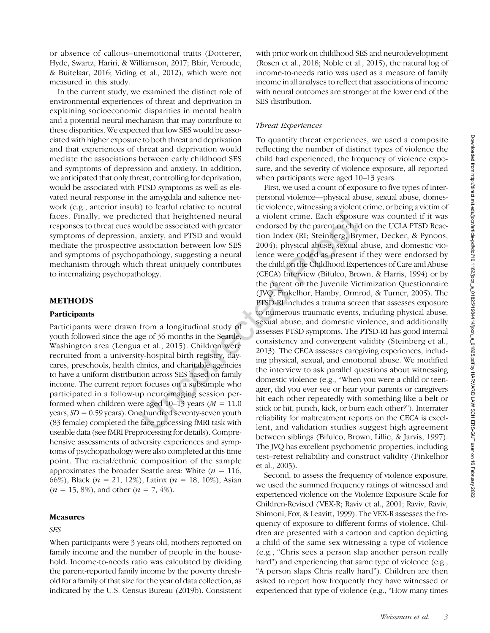or absence of callous–unemotional traits (Dotterer, Hyde, Swartz, Hariri, & Williamson, 2017; Blair, Veroude, & Buitelaar, 2016; Viding et al., 2012), which were not measured in this study.

In the current study, we examined the distinct role of environmental experiences of threat and deprivation in explaining socioeconomic disparities in mental health and a potential neural mechanism that may contribute to these disparities. We expected that low SES would be associated with higher exposure to both threat and deprivation and that experiences of threat and deprivation would mediate the associations between early childhood SES and symptoms of depression and anxiety. In addition, we anticipated that only threat, controlling for deprivation, would be associated with PTSD symptoms as well as elevated neural response in the amygdala and salience network (e.g., anterior insula) to fearful relative to neutral faces. Finally, we predicted that heightened neural responses to threat cues would be associated with greater symptoms of depression, anxiety, and PTSD and would mediate the prospective association between low SES and symptoms of psychopathology, suggesting a neural mechanism through which threat uniquely contributes to internalizing psychopathology.

## METHODS

#### **Participants**

Participants were drawn from a longitudinal study of youth followed since the age of 36 months in the Seattle, Washington area (Lengua et al., 2015). Children were recruited from a university-hospital birth registry, daycares, preschools, health clinics, and charitable agencies to have a uniform distribution across SES based on family income. The current report focuses on a subsample who participated in a follow-up neuroimaging session performed when children were aged  $10-13$  years ( $M = 11.0$ ) years,  $SD = 0.59$  years). One hundred seventy-seven youth (83 female) completed the face processing fMRI task with useable data (see fMRI Preprocessing for details). Comprehensive assessments of adversity experiences and symptoms of psychopathology were also completed at this time point. The racial/ethnic composition of the sample approximates the broader Seattle area: White  $(n = 116)$ , 66%), Black ( $n = 21, 12$ %), Latinx ( $n = 18, 10$ %), Asian  $(n = 15, 8\%)$ , and other  $(n = 7, 4\%)$ .

#### Measures

# SES

When participants were 3 years old, mothers reported on family income and the number of people in the household. Income-to-needs ratio was calculated by dividing the parent-reported family income by the poverty threshold for a family of that size for the year of data collection, as indicated by the U.S. Census Bureau (2019b). Consistent

with prior work on childhood SES and neurodevelopment (Rosen et al., 2018; Noble et al., 2015), the natural log of income-to-needs ratio was used as a measure of family income in all analyses to reflect that associations of income with neural outcomes are stronger at the lower end of the SES distribution.

## Threat Experiences

To quantify threat experiences, we used a composite reflecting the number of distinct types of violence the child had experienced, the frequency of violence exposure, and the severity of violence exposure, all reported when participants were aged 10–13 years.

First, we used a count of exposure to five types of interpersonal violence—physical abuse, sexual abuse, domestic violence, witnessing a violent crime, or being a victim of a violent crime. Each exposure was counted if it was endorsed by the parent or child on the UCLA PTSD Reaction Index (RI; Steinberg, Brymer, Decker, & Pynoos, 2004); physical abuse, sexual abuse, and domestic violence were coded as present if they were endorsed by the child on the Childhood Experiences of Care and Abuse (CECA) Interview (Bifulco, Brown, & Harris, 1994) or by the parent on the Juvenile Victimization Questionnaire ( JVQ; Finkelhor, Hamby, Ormrod, & Turner, 2005). The PTSD-RI includes a trauma screen that assesses exposure to numerous traumatic events, including physical abuse, sexual abuse, and domestic violence, and additionally assesses PTSD symptoms. The PTSD-RI has good internal consistency and convergent validity (Steinberg et al., 2013). The CECA assesses caregiving experiences, including physical, sexual, and emotional abuse. We modified the interview to ask parallel questions about witnessing domestic violence (e.g., "When you were a child or teenager, did you ever see or hear your parents or caregivers hit each other repeatedly with something like a belt or stick or hit, punch, kick, or burn each other?"). Interrater reliability for maltreatment reports on the CECA is excellent, and validation studies suggest high agreement between siblings (Bifulco, Brown, Lillie, & Jarvis, 1997). The JVQ has excellent psychometric properties, including test–retest reliability and construct validity (Finkelhor et al., 2005).

Second, to assess the frequency of violence exposure, we used the summed frequency ratings of witnessed and experienced violence on the Violence Exposure Scale for Children-Revised (VEX-R; Raviv et al., 2001; Raviv, Raviv, Shimoni, Fox, & Leavitt, 1999). The VEX-R assesses the frequency of exposure to different forms of violence. Children are presented with a cartoon and caption depicting a child of the same sex witnessing a type of violence (e.g., "Chris sees a person slap another person really hard") and experiencing that same type of violence (e.g., "A person slaps Chris really hard"). Children are then asked to report how frequently they have witnessed or experienced that type of violence (e.g., "How many times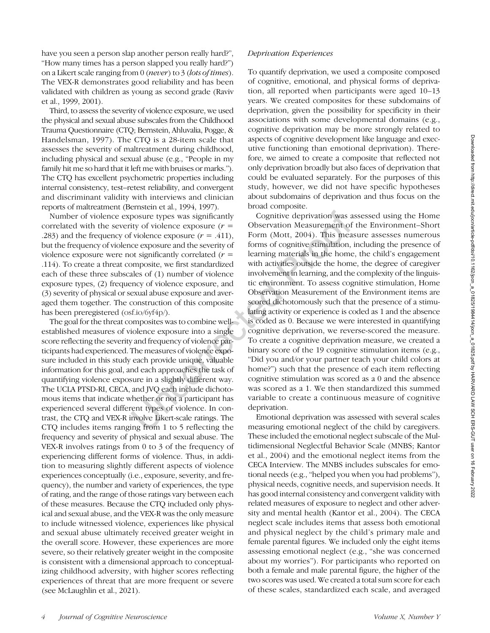have you seen a person slap another person really hard?", "How many times has a person slapped you really hard?") on a Likert scale ranging from 0 (never) to 3 (lots of times). The VEX-R demonstrates good reliability and has been validated with children as young as second grade (Raviv et al., 1999, 2001).

Third, to assess the severity of violence exposure, we used the physical and sexual abuse subscales from the Childhood Trauma Questionnaire (CTQ; Bernstein, Ahluvalia, Pogge, & Handelsman, 1997). The CTQ is a 28-item scale that assesses the severity of maltreatment during childhood, including physical and sexual abuse (e.g., "People in my family hit me so hard that it left me with bruises or marks."). The CTQ has excellent psychometric properties including internal consistency, test–retest reliability, and convergent and discriminant validity with interviews and clinician reports of maltreatment (Bernstein et al., 1994, 1997).

Number of violence exposure types was significantly correlated with the severity of violence exposure  $(r =$ .283) and the frequency of violence exposure  $(r = .411)$ , but the frequency of violence exposure and the severity of violence exposure were not significantly correlated  $(r =$ .114). To create a threat composite, we first standardized each of these three subscales of (1) number of violence exposure types, (2) frequency of violence exposure, and (3) severity of physical or sexual abuse exposure and averaged them together. The construction of this composite has been preregistered [\(osf.io/6yf4p/](https://osf.io/6yf4p/)).

The goal for the threat composites was to combine wellestablished measures of violence exposure into a single score reflecting the severity and frequency of violence participants had experienced. The measures of violence exposure included in this study each provide unique, valuable information for this goal, and each approaches the task of quantifying violence exposure in a slightly different way. The UCLA PTSD-RI, CECA, and JVQ each include dichotomous items that indicate whether or not a participant has experienced several different types of violence. In contrast, the CTQ and VEX-R involve Likert-scale ratings. The CTQ includes items ranging from 1 to 5 reflecting the frequency and severity of physical and sexual abuse. The VEX-R involves ratings from 0 to 3 of the frequency of experiencing different forms of violence. Thus, in addition to measuring slightly different aspects of violence experiences conceptually (i.e., exposure, severity, and frequency), the number and variety of experiences, the type of rating, and the range of those ratings vary between each of these measures. Because the CTQ included only physical and sexual abuse, and the VEX-R was the only measure to include witnessed violence, experiences like physical and sexual abuse ultimately received greater weight in the overall score. However, these experiences are more severe, so their relatively greater weight in the composite is consistent with a dimensional approach to conceptualizing childhood adversity, with higher scores reflecting experiences of threat that are more frequent or severe (see McLaughlin et al., 2021).

## Deprivation Experiences

To quantify deprivation, we used a composite composed of cognitive, emotional, and physical forms of deprivation, all reported when participants were aged 10–13 years. We created composites for these subdomains of deprivation, given the possibility for specificity in their associations with some developmental domains (e.g., cognitive deprivation may be more strongly related to aspects of cognitive development like language and executive functioning than emotional deprivation). Therefore, we aimed to create a composite that reflected not only deprivation broadly but also faces of deprivation that could be evaluated separately. For the purposes of this study, however, we did not have specific hypotheses about subdomains of deprivation and thus focus on the broad composite.

Cognitive deprivation was assessed using the Home Observation Measurement of the Environment–Short Form (Mott, 2004). This measure assesses numerous forms of cognitive stimulation, including the presence of learning materials in the home, the child's engagement with activities outside the home, the degree of caregiver involvement in learning, and the complexity of the linguistic environment. To assess cognitive stimulation, Home Observation Measurement of the Environment items are scored dichotomously such that the presence of a stimulating activity or experience is coded as 1 and the absence is coded as 0. Because we were interested in quantifying cognitive deprivation, we reverse-scored the measure. To create a cognitive deprivation measure, we created a binary score of the 19 cognitive stimulation items (e.g., "Did you and/or your partner teach your child colors at home?") such that the presence of each item reflecting cognitive stimulation was scored as a 0 and the absence was scored as a 1. We then standardized this summed variable to create a continuous measure of cognitive deprivation.

Emotional deprivation was assessed with several scales measuring emotional neglect of the child by caregivers. These included the emotional neglect subscale of the Multidimensional Neglectful Behavior Scale (MNBS; Kantor et al., 2004) and the emotional neglect items from the CECA Interview. The MNBS includes subscales for emotional needs (e.g., "helped you when you had problems"), physical needs, cognitive needs, and supervision needs. It has good internal consistency and convergent validity with related measures of exposure to neglect and other adversity and mental health (Kantor et al., 2004). The CECA neglect scale includes items that assess both emotional and physical neglect by the child's primary male and female parental figures. We included only the eight items assessing emotional neglect (e.g., "she was concerned about my worries"). For participants who reported on both a female and male parental figure, the higher of the two scores was used. We created a total sum score for each of these scales, standardized each scale, and averaged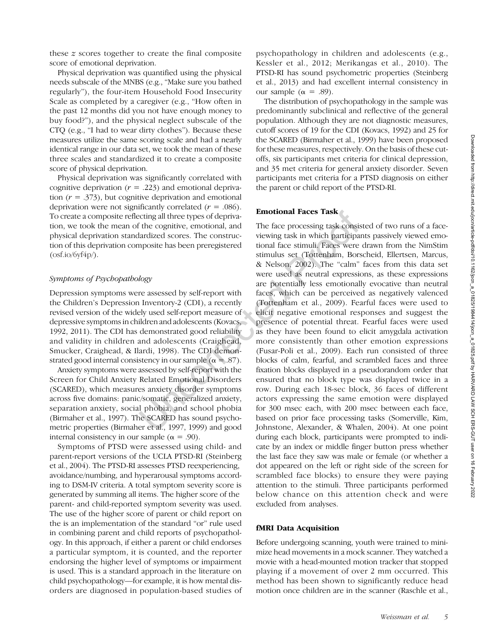these z scores together to create the final composite score of emotional deprivation.

Physical deprivation was quantified using the physical needs subscale of the MNBS (e.g., "Make sure you bathed regularly"), the four-item Household Food Insecurity Scale as completed by a caregiver (e.g., "How often in the past 12 months did you not have enough money to buy food?"), and the physical neglect subscale of the CTQ (e.g., "I had to wear dirty clothes"). Because these measures utilize the same scoring scale and had a nearly identical range in our data set, we took the mean of these three scales and standardized it to create a composite score of physical deprivation.

Physical deprivation was significantly correlated with cognitive deprivation  $(r = .223)$  and emotional deprivation  $(r = .373)$ , but cognitive deprivation and emotional deprivation were not significantly correlated  $(r = .086)$ . To create a composite reflecting all three types of deprivation, we took the mean of the cognitive, emotional, and physical deprivation standardized scores. The construction of this deprivation composite has been preregistered  $($ osf.io/ $/$  $(yf4p/$ ).

## Symptoms of Psychopathology

Depression symptoms were assessed by self-report with the Children's Depression Inventory-2 (CDI), a recently revised version of the widely used self-report measure of depressive symptoms in children and adolescents (Kovacs, 1992, 2011). The CDI has demonstrated good reliability and validity in children and adolescents (Craighead, Smucker, Craighead, & Ilardi, 1998). The CDI demonstrated good internal consistency in our sample ( $\alpha = .87$ ).

Anxiety symptoms were assessed by self-report with the Screen for Child Anxiety Related Emotional Disorders (SCARED), which measures anxiety disorder symptoms across five domains: panic/somatic, generalized anxiety, separation anxiety, social phobia, and school phobia (Birmaher et al., 1997). The SCARED has sound psychometric properties (Birmaher et al., 1997, 1999) and good internal consistency in our sample ( $α = .90$ ).

Symptoms of PTSD were assessed using child- and parent-report versions of the UCLA PTSD-RI (Steinberg et al., 2004). The PTSD-RI assesses PTSD reexperiencing, avoidance/numbing, and hyperarousal symptoms according to DSM-IV criteria. A total symptom severity score is generated by summing all items. The higher score of the parent- and child-reported symptom severity was used. The use of the higher score of parent or child report on the is an implementation of the standard "or" rule used in combining parent and child reports of psychopathology. In this approach, if either a parent or child endorses a particular symptom, it is counted, and the reporter endorsing the higher level of symptoms or impairment is used. This is a standard approach in the literature on child psychopathology—for example, it is how mental disorders are diagnosed in population-based studies of psychopathology in children and adolescents (e.g., Kessler et al., 2012; Merikangas et al., 2010). The PTSD-RI has sound psychometric properties (Steinberg et al., 2013) and had excellent internal consistency in our sample ( $\alpha = .89$ ).

The distribution of psychopathology in the sample was predominantly subclinical and reflective of the general population. Although they are not diagnostic measures, cutoff scores of 19 for the CDI (Kovacs, 1992) and 25 for the SCARED (Birmaher et al., 1999) have been proposed for these measures, respectively. On the basis of these cutoffs, six participants met criteria for clinical depression, and 35 met criteria for general anxiety disorder. Seven participants met criteria for a PTSD diagnosis on either the parent or child report of the PTSD-RI.

## Emotional Faces Task

The face processing task consisted of two runs of a faceviewing task in which participants passively viewed emotional face stimuli. Faces were drawn from the NimStim stimulus set (Tottenham, Borscheid, Ellertsen, Marcus, & Nelson, 2002). The "calm" faces from this data set were used as neutral expressions, as these expressions are potentially less emotionally evocative than neutral faces, which can be perceived as negatively valenced (Tottenham et al., 2009). Fearful faces were used to elicit negative emotional responses and suggest the presence of potential threat. Fearful faces were used as they have been found to elicit amygdala activation more consistently than other emotion expressions (Fusar-Poli et al., 2009). Each run consisted of three blocks of calm, fearful, and scrambled faces and three fixation blocks displayed in a pseudorandom order that ensured that no block type was displayed twice in a row. During each 18-sec block, 36 faces of different actors expressing the same emotion were displayed for 300 msec each, with 200 msec between each face, based on prior face processing tasks (Somerville, Kim, Johnstone, Alexander, & Whalen, 2004). At one point during each block, participants were prompted to indicate by an index or middle finger button press whether the last face they saw was male or female (or whether a dot appeared on the left or right side of the screen for scrambled face blocks) to ensure they were paying attention to the stimuli. Three participants performed below chance on this attention check and were excluded from analyses.

## fMRI Data Acquisition

Before undergoing scanning, youth were trained to minimize head movements in a mock scanner. They watched a movie with a head-mounted motion tracker that stopped playing if a movement of over 2 mm occurred. This method has been shown to significantly reduce head motion once children are in the scanner (Raschle et al.,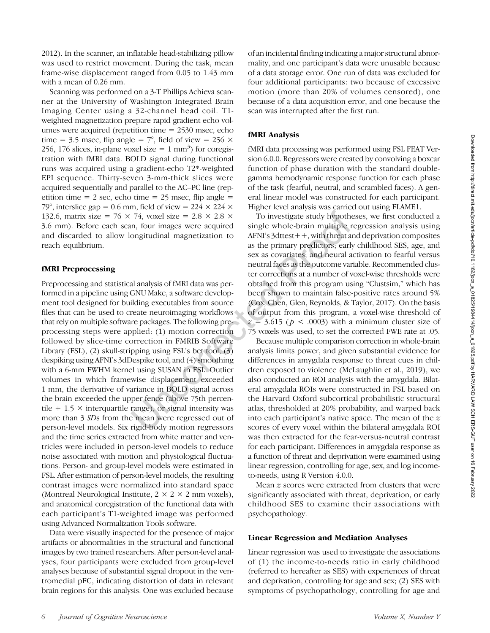2012). In the scanner, an inflatable head-stabilizing pillow was used to restrict movement. During the task, mean frame-wise displacement ranged from 0.05 to 1.43 mm with a mean of 0.26 mm.

Scanning was performed on a 3-T Phillips Achieva scanner at the University of Washington Integrated Brain Imaging Center using a 32-channel head coil. T1 weighted magnetization prepare rapid gradient echo volumes were acquired (repetition time = 2530 msec, echo time = 3.5 msec, flip angle =  $7^{\circ}$ , field of view = 256  $\times$ 256, 176 slices, in-plane voxel size =  $1 \text{ mm}^3$ ) for coregistration with fMRI data. BOLD signal during functional runs was acquired using a gradient-echo T2\*-weighted EPI sequence. Thirty-seven 3-mm-thick slices were acquired sequentially and parallel to the AC–PC line (repetition time = 2 sec, echo time = 25 msec, flip angle = 79°, interslice gap = 0.6 mm, field of view =  $224 \times 224 \times$ 132.6, matrix size = 76  $\times$  74, voxel size = 2.8  $\times$  2.8  $\times$ 3.6 mm). Before each scan, four images were acquired and discarded to allow longitudinal magnetization to reach equilibrium.

## fMRI Preprocessing

Preprocessing and statistical analysis of fMRI data was performed in a pipeline using GNU Make, a software development tool designed for building executables from source files that can be used to create neuroimaging workflows that rely on multiple software packages. The following preprocessing steps were applied: (1) motion correction followed by slice-time correction in FMRIB Software Library (FSL), (2) skull-stripping using FSL's bet tool, (3) despiking using AFNI's 3dDespike tool, and (4) smoothing with a 6-mm FWHM kernel using SUSAN in FSL. Outlier volumes in which framewise displacement exceeded 1 mm, the derivative of variance in BOLD signal across the brain exceeded the upper fence (above 75th percentile  $+ 1.5 \times$  interquartile range), or signal intensity was more than 3 SDs from the mean were regressed out of person-level models. Six rigid-body motion regressors and the time series extracted from white matter and ventricles were included in person-level models to reduce noise associated with motion and physiological fluctuations. Person- and group-level models were estimated in FSL. After estimation of person-level models, the resulting contrast images were normalized into standard space (Montreal Neurological Institute,  $2 \times 2 \times 2$  mm voxels), and anatomical coregistration of the functional data with each participant's T1-weighted image was performed using Advanced Normalization Tools software.

Data were visually inspected for the presence of major artifacts or abnormalities in the structural and functional images by two trained researchers. After person-level analyses, four participants were excluded from group-level analyses because of substantial signal dropout in the ventromedial pFC, indicating distortion of data in relevant brain regions for this analysis. One was excluded because

of an incidental finding indicating a major structural abnormality, and one participant's data were unusable because of a data storage error. One run of data was excluded for four additional participants: two because of excessive motion (more than 20% of volumes censored), one because of a data acquisition error, and one because the scan was interrupted after the first run.

#### fMRI Analysis

fMRI data processing was performed using FSL FEAT Version 6.0.0. Regressors were created by convolving a boxcar function of phase duration with the standard doublegamma hemodynamic response function for each phase of the task (fearful, neutral, and scrambled faces). A general linear model was constructed for each participant. Higher level analysis was carried out using FLAME1.

To investigate study hypotheses, we first conducted a single whole-brain multiple regression analysis using AFNI's 3dttest++, with threat and deprivation composites as the primary predictors; early childhood SES, age, and sex as covariates; and neural activation to fearful versus neutral faces as the outcome variable. Recommended cluster corrections at a number of voxel-wise thresholds were obtained from this program using "Clustsim," which has been shown to maintain false-positive rates around 5% (Cox, Chen, Glen, Reynolds, & Taylor, 2017). On the basis of output from this program, a voxel-wise threshold of  $z = 3.615$  ( $p < .0003$ ) with a minimum cluster size of 75 voxels was used, to set the corrected FWE rate at .05.

Because multiple comparison correction in whole-brain analysis limits power, and given substantial evidence for differences in amygdala response to threat cues in children exposed to violence (McLaughlin et al., 2019), we also conducted an ROI analysis with the amygdala. Bilateral amygdala ROIs were constructed in FSL based on the Harvard Oxford subcortical probabilistic structural atlas, thresholded at 20% probability, and warped back into each participant's native space. The mean of the  $z$ scores of every voxel within the bilateral amygdala ROI was then extracted for the fear-versus-neutral contrast for each participant. Differences in amygdala response as a function of threat and deprivation were examined using linear regression, controlling for age, sex, and log incometo-needs, using R Version 4.0.0.

Mean z scores were extracted from clusters that were significantly associated with threat, deprivation, or early childhood SES to examine their associations with psychopathology.

#### Linear Regression and Mediation Analyses

Linear regression was used to investigate the associations of (1) the income-to-needs ratio in early childhood (referred to hereafter as SES) with experiences of threat and deprivation, controlling for age and sex; (2) SES with symptoms of psychopathology, controlling for age and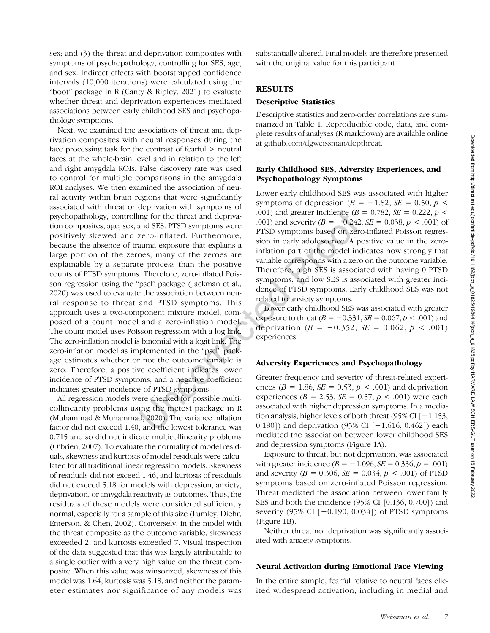sex; and (3) the threat and deprivation composites with symptoms of psychopathology, controlling for SES, age, and sex. Indirect effects with bootstrapped confidence intervals (10,000 iterations) were calculated using the "boot" package in R (Canty & Ripley, 2021) to evaluate whether threat and deprivation experiences mediated associations between early childhood SES and psychopathology symptoms.

Next, we examined the associations of threat and deprivation composites with neural responses during the face processing task for the contrast of fearful > neutral faces at the whole-brain level and in relation to the left and right amygdala ROIs. False discovery rate was used to control for multiple comparisons in the amygdala ROI analyses. We then examined the association of neural activity within brain regions that were significantly associated with threat or deprivation with symptoms of psychopathology, controlling for the threat and deprivation composites, age, sex, and SES. PTSD symptoms were positively skewed and zero-inflated. Furthermore, because the absence of trauma exposure that explains a large portion of the zeroes, many of the zeroes are explainable by a separate process than the positive counts of PTSD symptoms. Therefore, zero-inflated Poisson regression using the "pscl" package ( Jackman et al., 2020) was used to evaluate the association between neural response to threat and PTSD symptoms. This approach uses a two-component mixture model, composed of a count model and a zero-inflation model. The count model uses Poisson regression with a log link. The zero-inflation model is binomial with a logit link. The zero-inflation model as implemented in the "pscl" package estimates whether or not the outcome variable is zero. Therefore, a positive coefficient indicates lower incidence of PTSD symptoms, and a negative coefficient indicates greater incidence of PTSD symptoms.

All regression models were checked for possible multicollinearity problems using the mctest package in R (Muhammad & Muhammad, 2020). The variance inflation factor did not exceed 1.40, and the lowest tolerance was 0.715 and so did not indicate multicollinearity problems (O'brien, 2007). To evaluate the normality of model residuals, skewness and kurtosis of model residuals were calculated for all traditional linear regression models. Skewness of residuals did not exceed 1.46, and kurtosis of residuals did not exceed 5.18 for models with depression, anxiety, deprivation, or amygdala reactivity as outcomes. Thus, the residuals of these models were considered sufficiently normal, especially for a sample of this size (Lumley, Diehr, Emerson, & Chen, 2002). Conversely, in the model with the threat composite as the outcome variable, skewness exceeded 2, and kurtosis exceeded 7. Visual inspection of the data suggested that this was largely attributable to a single outlier with a very high value on the threat composite. When this value was winsorized, skewness of this model was 1.64, kurtosis was 5.18, and neither the parameter estimates nor significance of any models was substantially altered. Final models are therefore presented with the original value for this participant.

## **RESULTS**

## Descriptive Statistics

Descriptive statistics and zero-order correlations are summarized in Table 1. Reproducible code, data, and complete results of analyses (R markdown) are available online at [github.com/dgweissman/depthreat](https://github.com/dgweissman/depthreat).

## Early Childhood SES, Adversity Experiences, and Psychopathology Symptoms

Lower early childhood SES was associated with higher symptoms of depression ( $B = -1.82$ ,  $SE = 0.50$ ,  $p <$ .001) and greater incidence ( $B = 0.782$ ,  $SE = 0.222$ ,  $p <$ .001) and severity ( $B = -0.242$ ,  $SE = 0.038$ ,  $p < .001$ ) of PTSD symptoms based on zero-inflated Poisson regression in early adolescence. A positive value in the zeroinflation part of the model indicates how strongly that variable corresponds with a zero on the outcome variable. Therefore, high SES is associated with having 0 PTSD symptoms, and low SES is associated with greater incidence of PTSD symptoms. Early childhood SES was not related to anxiety symptoms.

Lower early childhood SES was associated with greater exposure to threat  $(B = -0.331, \, SE = 0.067, p < .001)$  and deprivation ( $B = -0.352$ ,  $SE = 0.062$ ,  $p < .001$ ) experiences.

## Adversity Experiences and Psychopathology

Greater frequency and severity of threat-related experiences ( $B = 1.86$ ,  $SE = 0.53$ ,  $p < .001$ ) and deprivation experiences ( $B = 2.53$ ,  $SE = 0.57$ ,  $p < .001$ ) were each associated with higher depression symptoms. In a mediation analysis, higher levels of both threat (95% CI [−1.153, 0.180]) and deprivation (95% CI [−1.616, 0.462]) each mediated the association between lower childhood SES and depression symptoms (Figure 1A).

Exposure to threat, but not deprivation, was associated with greater incidence  $(B = -1.096, SE = 0.336, p = .001)$ and severity ( $B = 0.306$ ,  $SE = 0.034$ ,  $p < .001$ ) of PTSD symptoms based on zero-inflated Poisson regression. Threat mediated the association between lower family SES and both the incidence (95% CI [0.136, 0.700]) and severity (95% CI [−0.190, 0.034]) of PTSD symptoms (Figure 1B).

Neither threat nor deprivation was significantly associated with anxiety symptoms.

#### Neural Activation during Emotional Face Viewing

In the entire sample, fearful relative to neutral faces elicited widespread activation, including in medial and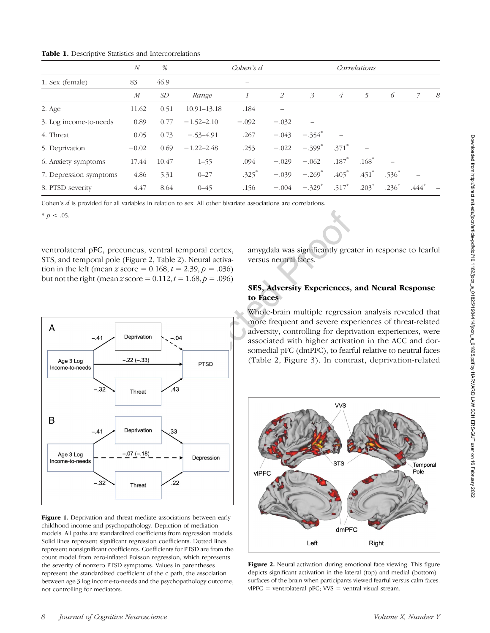|  |  |  |  |  | Table 1. Descriptive Statistics and Intercorrelations |
|--|--|--|--|--|-------------------------------------------------------|
|--|--|--|--|--|-------------------------------------------------------|

|                        | N                | %     |                 | Coben's d           |         |                      |                     | Correlations        |         |         |    |
|------------------------|------------------|-------|-----------------|---------------------|---------|----------------------|---------------------|---------------------|---------|---------|----|
| 1. Sex (female)        | 83               | 46.9  |                 |                     |         |                      |                     |                     |         |         |    |
|                        | $\boldsymbol{M}$ | SD    | Range           |                     | 2       | $\mathcal{E}$        | $\overline{4}$      | 5                   | 6       |         | -8 |
| 2. Age                 | 11.62            | 0.51  | $10.91 - 13.18$ | .184                |         |                      |                     |                     |         |         |    |
| 3. Log income-to-needs | 0.89             | 0.77  | $-1.52 - 2.10$  | $-.092$             | $-.032$ |                      |                     |                     |         |         |    |
| 4. Threat              | 0.05             | 0.73  | $-.53 - 4.91$   | .267                | $-.043$ | $-.354$ <sup>*</sup> |                     |                     |         |         |    |
| 5. Deprivation         | $-0.02$          | 0.69  | $-1.22 - 2.48$  | .253                | $-.022$ | $-.399*$             | $.371$ <sup>*</sup> |                     |         |         |    |
| 6. Anxiety symptoms    | 17.44            | 10.47 | $1 - 55$        | .094                | $-.029$ | $-.062$              | $.187*$             | $.168^{\degree}$    |         |         |    |
| 7. Depression symptoms | 4.86             | 5.31  | $0 - 27$        | $.325$ <sup>*</sup> | $-.039$ | $-.269$ <sup>*</sup> | $.405*$             | $.451$ <sup>*</sup> | $.536*$ |         |    |
| 8. PTSD severity       | 4.47             | 8.64  | $0 - 45$        | .156                | $-.004$ | $-.329$ <sup>*</sup> | $.517$ <sup>*</sup> | $.203*$             | $.236*$ | $.444*$ |    |

Cohen's d is provided for all variables in relation to sex. All other bivariate associations are correlations.

 $* p < .05$ .

ventrolateral pFC, precuneus, ventral temporal cortex, STS, and temporal pole (Figure 2, Table 2). Neural activation in the left (mean z score =  $0.168$ ,  $t = 2.39$ ,  $p = .036$ ) but not the right (mean z score =  $0.112$ ,  $t = 1.68$ ,  $p = .096$ )



Figure 1. Deprivation and threat mediate associations between early childhood income and psychopathology. Depiction of mediation models. All paths are standardized coefficients from regression models. Solid lines represent significant regression coefficients. Dotted lines represent nonsignificant coefficients. Coefficients for PTSD are from the count model from zero-inflated Poisson regression, which represents the severity of nonzero PTSD symptoms. Values in parentheses represent the standardized coefficient of the c path, the association between age 3 log income-to-needs and the psychopathology outcome, not controlling for mediators.

amygdala was significantly greater in response to fearful versus neutral faces.

# SES, Adversity Experiences, and Neural Response to Faces

Whole-brain multiple regression analysis revealed that more frequent and severe experiences of threat-related adversity, controlling for deprivation experiences, were associated with higher activation in the ACC and dorsomedial pFC (dmPFC), to fearful relative to neutral faces (Table 2, Figure 3). In contrast, deprivation-related



Figure 2. Neural activation during emotional face viewing. This figure depicts significant activation in the lateral (top) and medial (bottom) surfaces of the brain when participants viewed fearful versus calm faces.  $vIPFC$  = ventrolateral pFC; VVS = ventral visual stream.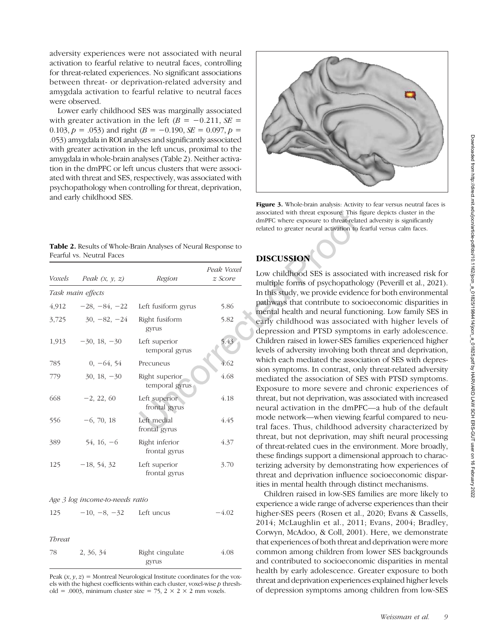adversity experiences were not associated with neural activation to fearful relative to neutral faces, controlling for threat-related experiences. No significant associations between threat- or deprivation-related adversity and amygdala activation to fearful relative to neutral faces were observed.

Lower early childhood SES was marginally associated with greater activation in the left  $(B = -0.211, SE =$ 0.103,  $p = .053$ ) and right ( $B = -0.190$ ,  $SE = 0.097$ ,  $p =$ .053) amygdala in ROI analyses and significantly associated with greater activation in the left uncus, proximal to the amygdala in whole-brain analyses (Table 2). Neither activation in the dmPFC or left uncus clusters that were associated with threat and SES, respectively, was associated with psychopathology when controlling for threat, deprivation, and early childhood SES.



Figure 3. Whole-brain analysis: Activity to fear versus neutral faces is associated with threat exposure. This figure depicts cluster in the dmPFC where exposure to threat-related adversity is significantly related to greater neural activation to fearful versus calm faces.

|                           | Table 2. Results of Whole-Brain Analyses of Neural Response to |
|---------------------------|----------------------------------------------------------------|
| Fearful vs. Neutral Faces |                                                                |

| Voxels | Peak $(x, y, z)$  | Region                           | Peak Voxel<br>z Score |
|--------|-------------------|----------------------------------|-----------------------|
|        | Task main effects |                                  |                       |
| 4,912  | $-28, -84, -22$   | Left fusiform gyrus              | 5.86                  |
| 3,725  | $30, -82, -24$    | Right fusiform<br>gyrus          | 5.82                  |
| 1,913  | $-30, 18, -30$    | Left superior<br>temporal gyrus  | 5.43                  |
| 785    | $0, -64, 54$      | Precuneus                        | 4.62                  |
| 779    | $30, 18, -30$     | Right superior<br>temporal gyrus | 4.68                  |
| 668    | $-2, 22, 60$      | Left superior<br>frontal gyrus   | 4.18                  |
| 556    | $-6, 70, 18$      | Left medial<br>frontal gyrus     | 4.45                  |
| 389    | $54, 16, -6$      | Right inferior<br>frontal gyrus  | 4.37                  |
| 125    | $-18, 54, 32$     | Left superior<br>frontal gyrus   | 3.70                  |

Age 3 log income-to-needs ratio

|        | $125 -10, -8, -32$ Left uncus | $-4.02$ |
|--------|-------------------------------|---------|
|        |                               |         |
| Threat |                               |         |

| 1171 OUV |           |                 |      |
|----------|-----------|-----------------|------|
| 78       | 2, 36, 34 | Right cingulate | 4.08 |
|          |           | gyrus           |      |

Peak  $(x, y, z)$  = Montreal Neurological Institute coordinates for the voxels with the highest coefficients within each cluster, voxel-wise  $p$  threshold = .0003, minimum cluster size = 75,  $2 \times 2 \times 2$  mm voxels.

# DISCUSSION

Low childhood SES is associated with increased risk for multiple forms of psychopathology (Peverill et al., 2021). In this study, we provide evidence for both environmental pathways that contribute to socioeconomic disparities in mental health and neural functioning. Low family SES in early childhood was associated with higher levels of depression and PTSD symptoms in early adolescence. Children raised in lower-SES families experienced higher levels of adversity involving both threat and deprivation, which each mediated the association of SES with depression symptoms. In contrast, only threat-related adversity mediated the association of SES with PTSD symptoms. Exposure to more severe and chronic experiences of threat, but not deprivation, was associated with increased neural activation in the dmPFC—a hub of the default mode network—when viewing fearful compared to neutral faces. Thus, childhood adversity characterized by threat, but not deprivation, may shift neural processing of threat-related cues in the environment. More broadly, these findings support a dimensional approach to characterizing adversity by demonstrating how experiences of threat and deprivation influence socioeconomic disparities in mental health through distinct mechanisms.

Children raised in low-SES families are more likely to experience a wide range of adverse experiences than their higher-SES peers (Rosen et al., 2020; Evans & Cassells, 2014; McLaughlin et al., 2011; Evans, 2004; Bradley, Corwyn, McAdoo, & Coll, 2001). Here, we demonstrate that experiences of both threat and deprivation were more common among children from lower SES backgrounds and contributed to socioeconomic disparities in mental health by early adolescence. Greater exposure to both threat and deprivation experiences explained higher levels of depression symptoms among children from low-SES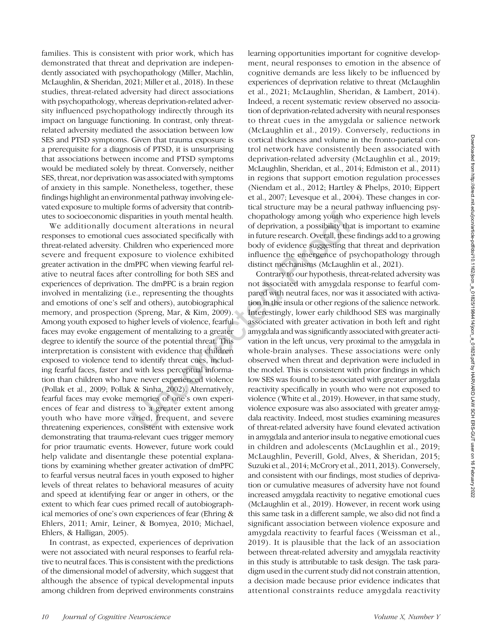families. This is consistent with prior work, which has demonstrated that threat and deprivation are independently associated with psychopathology (Miller, Machlin, McLaughlin, & Sheridan, 2021; Miller et al., 2018). In these studies, threat-related adversity had direct associations with psychopathology, whereas deprivation-related adversity influenced psychopathology indirectly through its impact on language functioning. In contrast, only threatrelated adversity mediated the association between low SES and PTSD symptoms. Given that trauma exposure is a prerequisite for a diagnosis of PTSD, it is unsurprising that associations between income and PTSD symptoms would be mediated solely by threat. Conversely, neither SES, threat, nor deprivation was associated with symptoms of anxiety in this sample. Nonetheless, together, these findings highlight an environmental pathway involving elevated exposure to multiple forms of adversity that contributes to socioeconomic disparities in youth mental health.

We additionally document alterations in neural responses to emotional cues associated specifically with threat-related adversity. Children who experienced more severe and frequent exposure to violence exhibited greater activation in the dmPFC when viewing fearful relative to neutral faces after controlling for both SES and experiences of deprivation. The dmPFC is a brain region involved in mentalizing (i.e., representing the thoughts and emotions of one's self and others), autobiographical memory, and prospection (Spreng, Mar, & Kim, 2009). Among youth exposed to higher levels of violence, fearful faces may evoke engagement of mentalizing to a greater degree to identify the source of the potential threat. This interpretation is consistent with evidence that children exposed to violence tend to identify threat cues, including fearful faces, faster and with less perceptual information than children who have never experienced violence (Pollak et al., 2009; Pollak & Sinha, 2002). Alternatively, fearful faces may evoke memories of one's own experiences of fear and distress to a greater extent among youth who have more varied, frequent, and severe threatening experiences, consistent with extensive work demonstrating that trauma-relevant cues trigger memory for prior traumatic events. However, future work could help validate and disentangle these potential explanations by examining whether greater activation of dmPFC to fearful versus neutral faces in youth exposed to higher levels of threat relates to behavioral measures of acuity and speed at identifying fear or anger in others, or the extent to which fear cues primed recall of autobiographical memories of one's own experiences of fear (Ehring & Ehlers, 2011; Amir, Leiner, & Bomyea, 2010; Michael, Ehlers, & Halligan, 2005).

In contrast, as expected, experiences of deprivation were not associated with neural responses to fearful relative to neutral faces. This is consistent with the predictions of the dimensional model of adversity, which suggest that although the absence of typical developmental inputs among children from deprived environments constrains learning opportunities important for cognitive development, neural responses to emotion in the absence of cognitive demands are less likely to be influenced by experiences of deprivation relative to threat (McLaughlin et al., 2021; McLaughlin, Sheridan, & Lambert, 2014). Indeed, a recent systematic review observed no association of deprivation-related adversity with neural responses to threat cues in the amygdala or salience network (McLaughlin et al., 2019). Conversely, reductions in cortical thickness and volume in the fronto-parietal control network have consistently been associated with deprivation-related adversity (McLaughlin et al., 2019; McLaughlin, Sheridan, et al., 2014; Edmiston et al., 2011) in regions that support emotion regulation processes (Niendam et al., 2012; Hartley & Phelps, 2010; Eippert et al., 2007; Levesque et al., 2004). These changes in cortical structure may be a neural pathway influencing psychopathology among youth who experience high levels of deprivation, a possibility that is important to examine in future research. Overall, these findings add to a growing body of evidence suggesting that threat and deprivation influence the emergence of psychopathology through distinct mechanisms (McLaughlin et al., 2021).

Contrary to our hypothesis, threat-related adversity was not associated with amygdala response to fearful compared with neutral faces, nor was it associated with activation in the insula or other regions of the salience network. Interestingly, lower early childhood SES was marginally associated with greater activation in both left and right amygdala and was significantly associated with greater activation in the left uncus, very proximal to the amygdala in whole-brain analyses. These associations were only observed when threat and deprivation were included in the model. This is consistent with prior findings in which low SES was found to be associated with greater amygdala reactivity specifically in youth who were not exposed to violence (White et al., 2019). However, in that same study, violence exposure was also associated with greater amygdala reactivity. Indeed, most studies examining measures of threat-related adversity have found elevated activation in amygdala and anterior insula to negative emotional cues in children and adolescents (McLaughlin et al., 2019; McLaughlin, Peverill, Gold, Alves, & Sheridan, 2015; Suzuki et al., 2014; McCrory et al., 2011, 2013). Conversely, and consistent with our findings, most studies of deprivation or cumulative measures of adversity have not found increased amygdala reactivity to negative emotional cues (McLaughlin et al., 2019). However, in recent work using this same task in a different sample, we also did not find a significant association between violence exposure and amygdala reactivity to fearful faces (Weissman et al., 2019). It is plausible that the lack of an association between threat-related adversity and amygdala reactivity in this study is attributable to task design. The task paradigm used in the current study did not constrain attention, a decision made because prior evidence indicates that attentional constraints reduce amygdala reactivity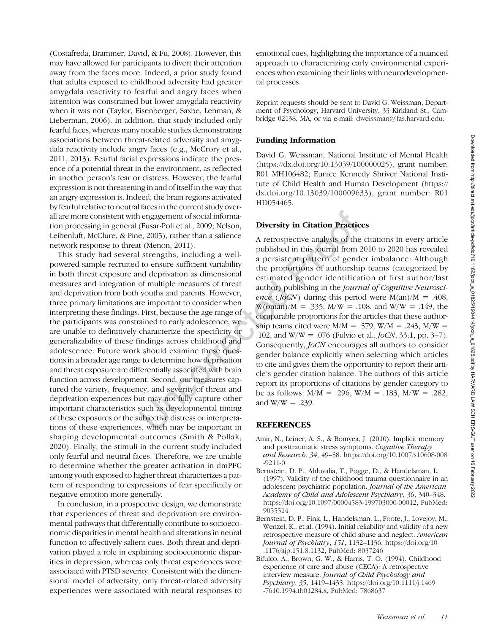(Costafreda, Brammer, David, & Fu, 2008). However, this may have allowed for participants to divert their attention away from the faces more. Indeed, a prior study found that adults exposed to childhood adversity had greater amygdala reactivity to fearful and angry faces when attention was constrained but lower amygdala reactivity when it was not (Taylor, Eisenberger, Saxbe, Lehman, & Lieberman, 2006). In addition, that study included only fearful faces, whereas many notable studies demonstrating associations between threat-related adversity and amygdala reactivity include angry faces (e.g., McCrory et al., 2011, 2013). Fearful facial expressions indicate the presence of a potential threat in the environment, as reflected in another person's fear or distress. However, the fearful expression is not threatening in and of itself in the way that an angry expression is. Indeed, the brain regions activated by fearful relative to neutral faces in the current study overall are more consistent with engagement of social information processing in general (Fusar-Poli et al., 2009; Nelson, Leibenluft, McClure, & Pine, 2005), rather than a salience network response to threat (Menon, 2011).

This study had several strengths, including a wellpowered sample recruited to ensure sufficient variability in both threat exposure and deprivation as dimensional measures and integration of multiple measures of threat and deprivation from both youths and parents. However, three primary limitations are important to consider when interpreting these findings. First, because the age range of the participants was constrained to early adolescence, we are unable to definitively characterize the specificity or generalizability of these findings across childhood and adolescence. Future work should examine these questions in a broader age range to determine how deprivation and threat exposure are differentially associated with brain function across development. Second, our measures captured the variety, frequency, and severity of threat and deprivation experiences but may not fully capture other important characteristics such as developmental timing of these exposures or the subjective distress or interpretations of these experiences, which may be important in shaping developmental outcomes (Smith & Pollak, 2020). Finally, the stimuli in the current study included only fearful and neutral faces. Therefore, we are unable to determine whether the greater activation in dmPFC among youth exposed to higher threat characterizes a pattern of responding to expressions of fear specifically or negative emotion more generally.

In conclusion, in a prospective design, we demonstrate that experiences of threat and deprivation are environmental pathways that differentially contribute to socioeconomic disparities in mental health and alterations in neural function to affectively salient cues. Both threat and deprivation played a role in explaining socioeconomic disparities in depression, whereas only threat experiences were associated with PTSD severity. Consistent with the dimensional model of adversity, only threat-related adversity experiences were associated with neural responses to

emotional cues, highlighting the importance of a nuanced approach to characterizing early environmental experiences when examining their links with neurodevelopmental processes.

Reprint requests should be sent to David G. Weissman, Department of Psychology, Harvard University, 33 Kirkland St., Cambridge 02138, MA, or via e-mail: [dweissman@fas.harvard.edu](mailto:dweissman@fas.harvard.edu).

## Funding Information

David G. Weissman, National Institute of Mental Health ([https://dx.doi.org/10.13039/100000025](http://dx.doi.org/10.13039/100000025)), grant number: R01 MH106482; Eunice Kennedy Shriver National Institute of Child Health and Human Development [\(https://](http://dx.doi.org/10.13039/100009633) [dx.doi.org/10.13039/100009633\)](http://dx.doi.org/10.13039/100009633), grant number: R01 HD054465.

## Diversity in Citation Practices

A retrospective analysis of the citations in every article published in this journal from 2010 to 2020 has revealed a persistent pattern of gender imbalance: Although the proportions of authorship teams (categorized by estimated gender identification of first author/last author) publishing in the Journal of Cognitive Neuroscience ( $J_0CN$ ) during this period were M(an)/M = .408,  $W(oman)/M = .335, M/W = .108, and W/W = .149, the$ comparable proportions for the articles that these authorship teams cited were  $M/M = .579$ ,  $W/M = .243$ ,  $M/W =$ .102, and W/W = .076 (Fulvio et al.,  $J_0CN$ , 33:1, pp. 3–7). Consequently, JoCN encourages all authors to consider gender balance explicitly when selecting which articles to cite and gives them the opportunity to report their article's gender citation balance. The authors of this article report its proportions of citations by gender category to be as follows:  $M/M = .296$ ,  $W/M = .183$ ,  $M/W = .282$ , and  $W/W = .239$ .

## REFERENCES

- Amir, N., Leiner, A. S., & Bomyea, J. (2010). Implicit memory and posttraumatic stress symptoms. Cognitive Therapy and Research, 34, 49–58. [https://doi.org/10.1007/s10608-008](https://doi.org/10.1007/s10608-008-9211-0) [-9211-0](https://doi.org/10.1007/s10608-008-9211-0)
- Bernstein, D. P., Ahluvalia, T., Pogge, D., & Handelsman, L. (1997). Validity of the childhood trauma questionnaire in an adolescent psychiatric population. Journal of the American Academy of Child and Adolescent Psychiatry, 36, 340–348. [https://doi.org/10.1097/00004583-199703000-00012,](https://doi.org/10.1097/00004583-199703000-00012) PubMed: [9055514](https://pubmed.ncbi.nlm.nih.gov/9055514)
- Bernstein, D. P., Fink, L., Handelsman, L., Foote, J., Lovejoy, M., Wenzel, K., et al. (1994). Initial reliability and validity of a new retrospective measure of child abuse and neglect. American Journal of Psychiatry, 151, 1132–1136. [https://doi.org/10](https://doi.org/10.1176/ajp.151.8.1132) [.1176/ajp.151.8.1132,](https://doi.org/10.1176/ajp.151.8.1132) PubMed: [8037246](https://pubmed.ncbi.nlm.nih.gov/8037246)
- Bifulco, A., Brown, G. W., & Harris, T. O. (1994). Childhood experience of care and abuse (CECA): A retrospective interview measure. Journal of Child Psychology and Psychiatry, 35, 1419–1435. [https://doi.org/10.1111/j.1469](https://doi.org/10.1111/j.1469-7610.1994.tb01284.x) [-7610.1994.tb01284.x](https://doi.org/10.1111/j.1469-7610.1994.tb01284.x), PubMed: [7868637](https://pubmed.ncbi.nlm.nih.gov/7868637)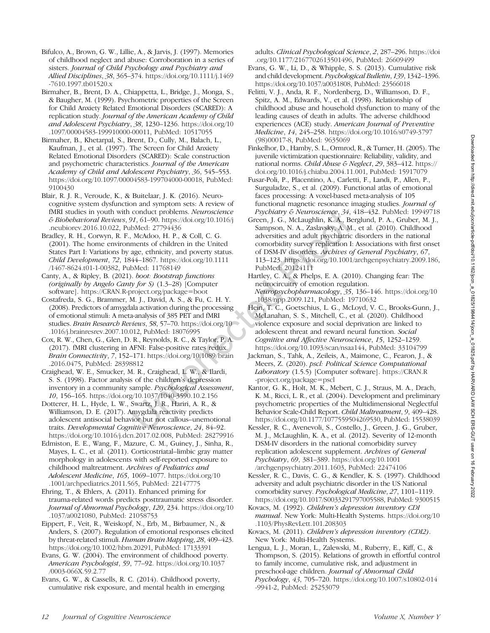- Bifulco, A., Brown, G. W., Lillie, A., & Jarvis, J. (1997). Memories of childhood neglect and abuse: Corroboration in a series of sisters. Journal of Child Psychology and Psychiatry and Allied Disciplines, 38, 365–374. [https://doi.org/10.1111/j.1469](https://doi.org/10.1111/j.1469-7610.1997.tb01520.x) [-7610.1997.tb01520.x](https://doi.org/10.1111/j.1469-7610.1997.tb01520.x)
- Birmaher, B., Brent, D. A., Chiappetta, L., Bridge, J., Monga, S., & Baugher, M. (1999). Psychometric properties of the Screen for Child Anxiety Related Emotional Disorders (SCARED): A replication study. Journal of the American Academy of Child and Adolescent Psychiatry, 38, 1230–1236. [https://doi.org/10](https://doi.org/10.1097/00004583-199910000-00011) [.1097/00004583-199910000-00011,](https://doi.org/10.1097/00004583-199910000-00011) PubMed: [10517055](https://pubmed.ncbi.nlm.nih.gov/10517055)
- Birmaher, B., Khetarpal, S., Brent, D., Cully, M., Balach, L., Kaufman, J., et al. (1997). The Screen for Child Anxiety Related Emotional Disorders (SCARED): Scale construction and psychometric characteristics. Journal of the American Academy of Child and Adolescent Psychiatry, 36, 545–553. [https://doi.org/10.1097/00004583-199704000-00018,](https://doi.org/10.1097/00004583-199704000-00018) PubMed: [9100430](https://pubmed.ncbi.nlm.nih.gov/9100430)
- Blair, R. J. R., Veroude, K., & Buitelaar, J. K. (2016). Neurocognitive system dysfunction and symptom sets: A review of fMRI studies in youth with conduct problems. Neuroscience & Biobehavioral Reviews, 91, 61–90. [https://doi.org/10.1016/j](https://doi.org/10.1016/j.neubiorev.2016.10.022) [.neubiorev.2016.10.022,](https://doi.org/10.1016/j.neubiorev.2016.10.022) PubMed: [27794436](https://pubmed.ncbi.nlm.nih.gov/27794436)
- Bradley, R. H., Corwyn, R. F., McAdoo, H. P., & Coll, C. G. (2001). The home environments of children in the United States Part I: Variations by age, ethnicity, and poverty status. Child Development, 72, 1844–1867. [https://doi.org/10.1111](https://doi.org/10.1111/1467-8624.t01-1-00382) [/1467-8624.t01-1-00382,](https://doi.org/10.1111/1467-8624.t01-1-00382) PubMed: [11768149](https://pubmed.ncbi.nlm.nih.gov/11768149)
- Canty, A., & Ripley, B. (2021). boot: Bootstrap functions (originally by Angelo Canty for S) (1.3–28) [Computer software]. <https://CRAN.R-project.org/package=boot>
- Costafreda, S. G., Brammer, M. J., David, A. S., & Fu, C. H. Y. (2008). Predictors of amygdala activation during the processing of emotional stimuli: A meta-analysis of 385 PET and fMRI studies. Brain Research Reviews, 58, 57–70. [https://doi.org/10](https://doi.org/10.1016/j.brainresrev.2007.10.012) [.1016/j.brainresrev.2007.10.012,](https://doi.org/10.1016/j.brainresrev.2007.10.012) PubMed: [18076995](https://pubmed.ncbi.nlm.nih.gov/18076995)
- Cox, R. W., Chen, G., Glen, D. R., Reynolds, R. C., & Taylor, P. A. (2017). fMRI clustering in AFNI: False-positive rates redux. Brain Connectivity, 7, 152–171. [https://doi.org/10.1089/brain](https://doi.org/10.1089/brain.2016.0475) [.2016.0475](https://doi.org/10.1089/brain.2016.0475), PubMed: [28398812](https://pubmed.ncbi.nlm.nih.gov/28398812)
- Craighead, W. E., Smucker, M. R., Craighead, L. W., & Ilardi, S. S. (1998). Factor analysis of the children's depression inventory in a community sample. Psychological Assessment, 10, 156–165. <https://doi.org/10.1037/1040-3590.10.2.156>
- Dotterer, H. L., Hyde, L. W., Swartz, J. R., Hariri, A. R., & Williamson, D. E. (2017). Amygdala reactivity predicts adolescent antisocial behavior but not callous–unemotional traits. Developmental Cognitive Neuroscience, 24, 84–92. <https://doi.org/10.1016/j.dcn.2017.02.008>, PubMed: [28279916](https://pubmed.ncbi.nlm.nih.gov/28279916)
- Edmiston, E. E., Wang, F., Mazure, C. M., Guiney, J., Sinha, R., Mayes, L. C., et al. (2011). Corticostriatal–limbic gray matter morphology in adolescents with self-reported exposure to childhood maltreatment. Archives of Pediatrics and Adolescent Medicine, 165, 1069–1077. [https://doi.org/10](https://doi.org/10.1001/archpediatrics.2011.565) [.1001/archpediatrics.2011.565,](https://doi.org/10.1001/archpediatrics.2011.565) PubMed: [22147775](https://pubmed.ncbi.nlm.nih.gov/22147775)
- Ehring, T., & Ehlers, A. (2011). Enhanced priming for trauma-related words predicts posttraumatic stress disorder. Journal of Abnormal Psychology, 120, 234. [https://doi.org/10](https://doi.org/10.1037/a0021080) [.1037/a0021080](https://doi.org/10.1037/a0021080), PubMed: [21058753](https://pubmed.ncbi.nlm.nih.gov/21058753)
- Eippert, F., Veit, R., Weiskopf, N., Erb, M., Birbaumer, N., & Anders, S. (2007). Regulation of emotional responses elicited by threat-related stimuli. Human Brain Mapping, 28, 409–423. [https://doi.org/10.1002/hbm.20291,](https://doi.org/10.1002/hbm.20291) PubMed: [17133391](https://pubmed.ncbi.nlm.nih.gov/17133391)
- Evans, G. W. (2004). The environment of childhood poverty. American Psychologist, 59, 77–92. [https://doi.org/10.1037](https://doi.org/10.1037/0003-066X.59.2.77) [/0003-066X.59.2.77](https://doi.org/10.1037/0003-066X.59.2.77)
- Evans, G. W., & Cassells, R. C. (2014). Childhood poverty, cumulative risk exposure, and mental health in emerging

adults. Clinical Psychological Science, 2, 287–296. [https://doi](https://doi.org/10.1177/2167702613501496) [.org/10.1177/2167702613501496](https://doi.org/10.1177/2167702613501496), PubMed: [26609499](https://pubmed.ncbi.nlm.nih.gov/26609499)

- Evans, G. W., Li, D., & Whipple, S. S. (2013). Cumulative risk and child development. Psychological Bulletin, 139, 1342–1396. <https://doi.org/10.1037/a0031808>, PubMed: [23566018](https://pubmed.ncbi.nlm.nih.gov/23566018)
- Felitti, V. J., Anda, R. F., Nordenberg, D., Williamson, D. F., Spitz, A. M., Edwards, V., et al. (1998). Relationship of childhood abuse and household dysfunction to many of the leading causes of death in adults. The adverse childhood experiences (ACE) study. American Journal of Preventive Medicine, 14, 245–258. [https://doi.org/10.1016/s0749-3797](https://doi.org/10.1016/s0749-3797(98)00017-8) [\(98\)00017-8](https://doi.org/10.1016/s0749-3797(98)00017-8), PubMed: [9635069](https://pubmed.ncbi.nlm.nih.gov/9635069)
- Finkelhor, D., Hamby, S. L., Ormrod, R., & Turner, H. (2005). The juvenile victimization questionnaire: Reliability, validity, and national norms. Child Abuse & Neglect, 29, 383–412. [https://](https://doi.org/10.1016/j.chiabu.2004.11.001) [doi.org/10.1016/j.chiabu.2004.11.001](https://doi.org/10.1016/j.chiabu.2004.11.001), PubMed: [15917079](https://pubmed.ncbi.nlm.nih.gov/15917079)
- Fusar-Poli, P., Placentino, A., Carletti, F., Landi, P., Allen, P., Surguladze, S., et al. (2009). Functional atlas of emotional faces processing: A voxel-based meta-analysis of 105 functional magnetic resonance imaging studies. Journal of Psychiatry & Neuroscience, 34, 418–432. PubMed: [19949718](https://pubmed.ncbi.nlm.nih.gov/19949718)
- Green, J. G., McLaughlin, K. A., Berglund, P. A., Gruber, M. J., Sampson, N. A., Zaslavsky, A. M., et al. (2010). Childhood adversities and adult psychiatric disorders in the national comorbidity survey replication I: Associations with first onset of DSM-IV disorders. Archives of General Psychiatry, 67, 113–123. [https://doi.org/10.1001/archgenpsychiatry.2009.186,](https://doi.org/10.1001/archgenpsychiatry.2009.186) PubMed: [20124111](https://pubmed.ncbi.nlm.nih.gov/20124111)
- Hartley, C. A., & Phelps, E. A. (2010). Changing fear: The neurocircuitry of emotion regulation. Neuropsychopharmacology, 35, 136–146. [https://doi.org/10](https://doi.org/10.1038/npp.2009.121) [.1038/npp.2009.121,](https://doi.org/10.1038/npp.2009.121) PubMed: [19710632](https://pubmed.ncbi.nlm.nih.gov/19710632)
- Hein, T. C., Goetschius, L. G., McLoyd, V. C., Brooks-Gunn, J., McLanahan, S. S., Mitchell, C., et al. (2020). Childhood violence exposure and social deprivation are linked to adolescent threat and reward neural function. Social Cognitive and Affective Neuroscience, 15, 1252–1259. [https://doi.org/10.1093/scan/nsaa144,](https://doi.org/10.1093/scan/nsaa144) PubMed: [33104799](https://pubmed.ncbi.nlm.nih.gov/33104799)
- Jackman, S., Tahk, A., Zeileis, A., Maimone, C., Fearon, J., & Meers, Z. (2020). pscl: Political Science Computational Laboratory (1.5.5) [Computer software]. [https://CRAN.R](https://CRAN.R-project.org/package=pscl) [-project.org/package=pscl](https://CRAN.R-project.org/package=pscl)
- Kantor, G. K., Holt, M. K., Mebert, C. J., Straus, M. A., Drach, K. M., Ricci, L. R., et al. (2004). Development and preliminary psychometric properties of the Multidimensional Neglectful Behavior Scale-Child Report. Child Maltreatment, 9, 409–428. <https://doi.org/10.1177/1077559504269530>, PubMed: [15538039](https://pubmed.ncbi.nlm.nih.gov/15538039)
- Kessler, R. C., Avenevoli, S., Costello, J., Green, J. G., Gruber, M. J., McLaughlin, K. A., et al. (2012). Severity of 12-month DSM-IV disorders in the national comorbidity survey replication adolescent supplement. Archives of General Psychiatry, 69, 381–389. [https://doi.org/10.1001](https://doi.org/10.1001/archgenpsychiatry.2011.1603) [/archgenpsychiatry.2011.1603](https://doi.org/10.1001/archgenpsychiatry.2011.1603), PubMed: [22474106](https://pubmed.ncbi.nlm.nih.gov/22474106)
- Kessler, R. C., Davis, C. G., & Kendler, K. S. (1997). Childhood adversity and adult psychiatric disorder in the US National comorbidity survey. Psychological Medicine, 27, 1101–1119. [https://doi.org/10.1017/S0033291797005588,](https://doi.org/10.1017/S0033291797005588) PubMed: [9300515](https://pubmed.ncbi.nlm.nih.gov/9300515)
- Kovacs, M. (1992). Children's depression inventory CDI manual. New York: Multi-Health Systems. [https://doi.org/10](https://doi.org/10.1103/PhysRevLett.101.208303) [.1103/PhysRevLett.101.208303](https://doi.org/10.1103/PhysRevLett.101.208303)
- Kovacs, M. (2011). Children's depression inventory (CDI2). New York: Multi-Health Systems.
- Lengua, L. J., Moran, L., Zalewski, M., Ruberry, E., Kiff, C., & Thompson, S. (2015). Relations of growth in effortful control to family income, cumulative risk, and adjustment in preschool-age children. Journal of Abnormal Child Psychology, 43, 705–720. [https://doi.org/10.1007/s10802-014](https://doi.org/10.1007/s10802-014-9941-2) [-9941-2](https://doi.org/10.1007/s10802-014-9941-2), PubMed: [25253079](https://pubmed.ncbi.nlm.nih.gov/25253079)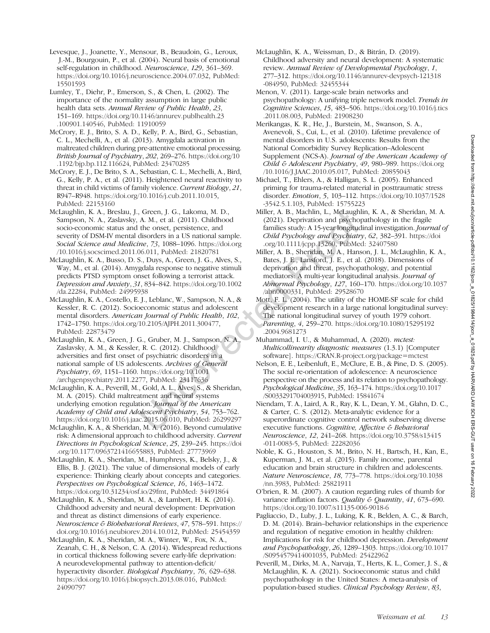- Levesque, J., Joanette, Y., Mensour, B., Beaudoin, G., Leroux, J.-M., Bourgouin, P., et al. (2004). Neural basis of emotional self-regulation in childhood. Neuroscience, 129, 361–369. [https://doi.org/10.1016/j.neuroscience.2004.07.032,](https://doi.org/10.1016/j.neuroscience.2004.07.032) PubMed: [15501593](https://pubmed.ncbi.nlm.nih.gov/15501593)
- Lumley, T., Diehr, P., Emerson, S., & Chen, L. (2002). The importance of the normality assumption in large public health data sets. Annual Review of Public Health, 23, 151–169. [https://doi.org/10.1146/annurev.publhealth.23](https://doi.org/10.1146/annurev.publhealth.23.100901.140546) [.100901.140546](https://doi.org/10.1146/annurev.publhealth.23.100901.140546), PubMed: [11910059](https://pubmed.ncbi.nlm.nih.gov/11910059)
- McCrory, E. J., Brito, S. A. D., Kelly, P. A., Bird, G., Sebastian, C. L., Mechelli, A., et al. (2013). Amygdala activation in maltreated children during pre-attentive emotional processing. British Journal of Psychiatry, 202, 269–276. [https://doi.org/10](https://doi.org/10.1192/bjp.bp.112.116624) [.1192/bjp.bp.112.116624,](https://doi.org/10.1192/bjp.bp.112.116624) PubMed: [23470285](https://pubmed.ncbi.nlm.nih.gov/23470285)
- McCrory, E. J., De Brito, S. A., Sebastian, C. L., Mechelli, A., Bird, G., Kelly, P. A., et al. (2011). Heightened neural reactivity to threat in child victims of family violence. Current Biology, 21, R947–R948. <https://doi.org/10.1016/j.cub.2011.10.015>, PubMed: [22153160](https://pubmed.ncbi.nlm.nih.gov/22153160)
- McLaughlin, K. A., Breslau, J., Green, J. G., Lakoma, M. D., Sampson, N. A., Zaslavsky, A. M., et al. (2011). Childhood socio-economic status and the onset, persistence, and severity of DSM-IV mental disorders in a US national sample. Social Science and Medicine, 73, 1088–1096. [https://doi.org](https://doi.org/10.1016/j.socscimed.2011.06.011) [/10.1016/j.socscimed.2011.06.011](https://doi.org/10.1016/j.socscimed.2011.06.011), PubMed: [21820781](https://pubmed.ncbi.nlm.nih.gov/21820781)
- McLaughlin, K. A., Busso, D. S., Duys, A., Green, J. G., Alves, S., Way, M., et al. (2014). Amygdala response to negative stimuli predicts PTSD symptom onset following a terrorist attack. Depression and Anxiety, 31, 834–842. [https://doi.org/10.1002](https://doi.org/10.1002/da.22284) [/da.22284](https://doi.org/10.1002/da.22284), PubMed: [24995938](https://pubmed.ncbi.nlm.nih.gov/24995938)
- McLaughlin, K. A., Costello, E. J., Leblanc, W., Sampson, N. A., & Kessler, R. C. (2012). Socioeconomic status and adolescent mental disorders. American Journal of Public Health, 102, 1742–1750. <https://doi.org/10.2105/AJPH.2011.300477>, PubMed: [22873479](https://pubmed.ncbi.nlm.nih.gov/22873479)
- McLaughlin, K. A., Green, J. G., Gruber, M. J., Sampson, N. A., Zaslavsky, A. M., & Kessler, R. C. (2012). Childhood adversities and first onset of psychiatric disorders in a national sample of US adolescents. Archives of General Psychiatry, 69, 1151–1160. [https://doi.org/10.1001](https://doi.org/10.1001/archgenpsychiatry.2011.2277) [/archgenpsychiatry.2011.2277](https://doi.org/10.1001/archgenpsychiatry.2011.2277), PubMed: [23117636](https://pubmed.ncbi.nlm.nih.gov/23117636)
- McLaughlin, K. A., Peverill, M., Gold, A. L., Alves, S., & Sheridan, M. A. (2015). Child maltreatment and neural systems underlying emotion regulation. Journal of the American Academy of Child and Adolescent Psychiatry, 54, 753–762. [https://doi.org/10.1016/j.jaac.2015.06.010,](https://doi.org/10.1016/j.jaac.2015.06.010) PubMed: [26299297](https://pubmed.ncbi.nlm.nih.gov/26299297)
- McLaughlin, K. A., & Sheridan, M. A. (2016). Beyond cumulative risk: A dimensional approach to childhood adversity. *Current* Directions in Psychological Science, 25, 239–245. [https://doi](https://doi.org/10.1177/0963721416655883) [.org/10.1177/0963721416655883](https://doi.org/10.1177/0963721416655883), PubMed: [27773969](https://pubmed.ncbi.nlm.nih.gov/27773969)
- McLaughlin, K. A., Sheridan, M., Humphreys, K., Belsky, J., & Ellis, B. J. (2021). The value of dimensional models of early experience: Thinking clearly about concepts and categories. Perspectives on Psychological Science, 16, 1463–1472. <https://doi.org/10.31234/osf.io/29fmt>, PubMed: [34491864](https://pubmed.ncbi.nlm.nih.gov/34491864)
- McLaughlin, K. A., Sheridan, M. A., & Lambert, H. K. (2014). Childhood adversity and neural development: Deprivation and threat as distinct dimensions of early experience. Neuroscience & Biobehavioral Reviews, 47, 578–591. [https://](https://doi.org/10.1016/j.neubiorev.2014.10.012) [doi.org/10.1016/j.neubiorev.2014.10.012](https://doi.org/10.1016/j.neubiorev.2014.10.012), PubMed: [25454359](https://pubmed.ncbi.nlm.nih.gov/25454359)
- McLaughlin, K. A., Sheridan, M. A., Winter, W., Fox, N. A., Zeanah, C. H., & Nelson, C. A. (2014). Widespread reductions in cortical thickness following severe early-life deprivation: A neurodevelopmental pathway to attention-deficit/ hyperactivity disorder. Biological Psychiatry, 76, 629–638. <https://doi.org/10.1016/j.biopsych.2013.08.016>, PubMed: [24090797](https://pubmed.ncbi.nlm.nih.gov/24090797)
- McLaughlin, K. A., Weissman, D., & Bitrán, D. (2019). Childhood adversity and neural development: A systematic review. Annual Review of Developmental Psychology, 1, 277–312. [https://doi.org/10.1146/annurev-devpsych-121318](https://doi.org/10.1146/annurev-devpsych-121318-084950) [-084950](https://doi.org/10.1146/annurev-devpsych-121318-084950), PubMed: [32455344](https://pubmed.ncbi.nlm.nih.gov/32455344)
- Menon, V. (2011). Large-scale brain networks and psychopathology: A unifying triple network model. Trends in Cognitive Sciences, 15, 483–506. [https://doi.org/10.1016/j.tics](https://doi.org/10.1016/j.tics.2011.08.003) [.2011.08.003](https://doi.org/10.1016/j.tics.2011.08.003), PubMed: [21908230](https://pubmed.ncbi.nlm.nih.gov/21908230)
- Merikangas, K. R., He, J., Burstein, M., Swanson, S. A., Avenevoli, S., Cui, L., et al. (2010). Lifetime prevalence of mental disorders in U.S. adolescents: Results from the National Comorbidity Survey Replication–Adolescent Supplement (NCS-A). Journal of the American Academy of Child & Adolescent Psychiatry, 49, 980-989. [https://doi.org](https://doi.org/10.1016/J.JAAC.2010.05.017) /10.1016/J.JAAC.2010.05.017, PubMed: [20855043](https://pubmed.ncbi.nlm.nih.gov/20855043)
- Michael, T., Ehlers, A., & Halligan, S. L. (2005). Enhanced priming for trauma-related material in posttraumatic stress disorder. Emotion, 5, 103–112. [https://doi.org/10.1037/1528](https://doi.org/10.1037/1528-3542.5.1.103) [-3542.5.1.103,](https://doi.org/10.1037/1528-3542.5.1.103) PubMed: [15755223](https://pubmed.ncbi.nlm.nih.gov/15755223)
- Miller, A. B., Machlin, L., McLaughlin, K. A., & Sheridan, M. A. (2021). Deprivation and psychopathology in the fragile families study: A 15-year longitudinal investigation. Journal of Child Psychology and Psychiatry, 62, 382–391. [https://doi](https://doi.org/10.1111/jcpp.13260) [.org/10.1111/jcpp.13260](https://doi.org/10.1111/jcpp.13260), PubMed: [32407580](https://pubmed.ncbi.nlm.nih.gov/32407580)
- Miller, A. B., Sheridan, M. A., Hanson, J. L., McLaughlin, K. A., Bates, J. E., Lansford, J. E., et al. (2018). Dimensions of deprivation and threat, psychopathology, and potential mediators: A multi-year longitudinal analysis. Journal of Abnormal Psychology, 127, 160–170. [https://doi.org/10.1037](https://doi.org/10.1037/abn0000331) [/abn0000331,](https://doi.org/10.1037/abn0000331) PubMed: [29528670](https://pubmed.ncbi.nlm.nih.gov/29528670)
- Mott, F. L. (2004). The utility of the HOME-SF scale for child development research in a large national longitudinal survey: The national longitudinal survey of youth 1979 cohort. Parenting, 4, 259–270. [https://doi.org/10.1080/15295192](https://doi.org/10.1080/15295192.2004.9681273) [.2004.9681273](https://doi.org/10.1080/15295192.2004.9681273)
- Muhammad, I. U., & Muhammad, A. (2020). mctest: Multicollinearity diagnostic measures (1.3.1) [Computer software]. <https://CRAN.R-project.org/package=mctest>
- Nelson, E. E., Leibenluft, E., McClure, E. B., & Pine, D. S. (2005). The social re-orientation of adolescence: A neuroscience perspective on the process and its relation to psychopathology. Psychological Medicine, 35, 163–174. [https://doi.org/10.1017](https://doi.org/10.1017/S0033291704003915) [/S0033291704003915,](https://doi.org/10.1017/S0033291704003915) PubMed: [15841674](https://pubmed.ncbi.nlm.nih.gov/15841674)
- Niendam, T. A., Laird, A. R., Ray, K. L., Dean, Y. M., Glahn, D. C., & Carter, C. S. (2012). Meta-analytic evidence for a superordinate cognitive control network subserving diverse executive functions. Cognitive, Affective & Behavioral Neuroscience, 12, 241–268. [https://doi.org/10.3758/s13415](https://doi.org/10.3758/s13415-011-0083-5) [-011-0083-5](https://doi.org/10.3758/s13415-011-0083-5), PubMed: [22282036](https://pubmed.ncbi.nlm.nih.gov/22282036)
- Noble, K. G., Houston, S. M., Brito, N. H., Bartsch, H., Kan, E., Kuperman, J. M., et al. (2015). Family income, parental education and brain structure in children and adolescents. Nature Neuroscience, 18, 773–778. [https://doi.org/10.1038](https://doi.org/10.1038/nn.3983) [/nn.3983,](https://doi.org/10.1038/nn.3983) PubMed: [25821911](https://pubmed.ncbi.nlm.nih.gov/25821911)
- O'brien, R. M. (2007). A caution regarding rules of thumb for variance inflation factors. Quality & Quantity, 41, 673-690. <https://doi.org/10.1007/s11135-006-9018-6>
- Pagliaccio, D., Luby, J. L., Luking, K. R., Belden, A. C., & Barch, D. M. (2014). Brain–behavior relationships in the experience and regulation of negative emotion in healthy children: Implications for risk for childhood depression. Development and Psychopathology, 26, 1289–1303. [https://doi.org/10.1017](https://doi.org/10.1017/S0954579414001035) [/S0954579414001035,](https://doi.org/10.1017/S0954579414001035) PubMed: [25422962](https://pubmed.ncbi.nlm.nih.gov/25422962)
- Peverill, M., Dirks, M. A., Narvaja, T., Herts, K. L., Comer, J. S., & McLaughlin, K. A. (2021). Socioeconomic status and child psychopathology in the United States: A meta-analysis of population-based studies. Clinical Psychology Review, 83,